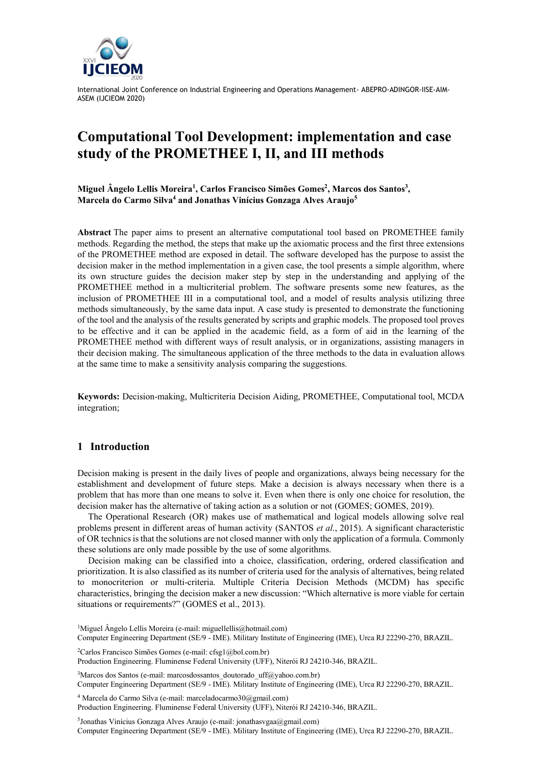

# **Computational Tool Development: implementation and case study of the PROMETHEE I, II, and III methods**

**Miguel Ângelo Lellis Moreira<sup>1</sup> , Carlos Francisco Simões Gomes<sup>2</sup> , Marcos dos Santos<sup>3</sup> , Marcela do Carmo Silva<sup>4</sup> and Jonathas Vinícius Gonzaga Alves Araujo<sup>5</sup>**

**Abstract** The paper aims to present an alternative computational tool based on PROMETHEE family methods. Regarding the method, the steps that make up the axiomatic process and the first three extensions of the PROMETHEE method are exposed in detail. The software developed has the purpose to assist the decision maker in the method implementation in a given case, the tool presents a simple algorithm, where its own structure guides the decision maker step by step in the understanding and applying of the PROMETHEE method in a multicriterial problem. The software presents some new features, as the inclusion of PROMETHEE III in a computational tool, and a model of results analysis utilizing three methods simultaneously, by the same data input. A case study is presented to demonstrate the functioning of the tool and the analysis of the results generated by scripts and graphic models. The proposed tool proves to be effective and it can be applied in the academic field, as a form of aid in the learning of the PROMETHEE method with different ways of result analysis, or in organizations, assisting managers in their decision making. The simultaneous application of the three methods to the data in evaluation allows at the same time to make a sensitivity analysis comparing the suggestions.

**Keywords:** Decision-making, Multicriteria Decision Aiding, PROMETHEE, Computational tool, MCDA integration;

#### **1 Introduction**

Decision making is present in the daily lives of people and organizations, always being necessary for the establishment and development of future steps. Make a decision is always necessary when there is a problem that has more than one means to solve it. Even when there is only one choice for resolution, the decision maker has the alternative of taking action as a solution or not (GOMES; GOMES, 2019).

The Operational Research (OR) makes use of mathematical and logical models allowing solve real problems present in different areas of human activity (SANTOS *et al*., 2015). A significant characteristic of OR technics is that the solutions are not closed manner with only the application of a formula. Commonly these solutions are only made possible by the use of some algorithms.

Decision making can be classified into a choice, classification, ordering, ordered classification and prioritization. It is also classified as its number of criteria used for the analysis of alternatives, being related to monocriterion or multi-criteria. Multiple Criteria Decision Methods (MCDM) has specific characteristics, bringing the decision maker a new discussion: "Which alternative is more viable for certain situations or requirements?" (GOMES et al., 2013).

<sup>1</sup>Miguel Ângelo Lellis Moreira (e-mail: miguellellis@hotmail.com) Computer Engineering Department (SE/9 - IME). Military Institute of Engineering (IME), Urca RJ 22290-270, BRAZIL.

<sup>2</sup>Carlos Francisco Simões Gomes (e-mail: cfsg1@bol.com.br) Production Engineering. Fluminense Federal University (UFF), Niterói RJ 24210-346, BRAZIL.

<sup>3</sup>Marcos dos Santos (e-mail: marcosdossantos doutorado uff@yahoo.com.br)

Computer Engineering Department (SE/9 - IME). Military Institute of Engineering (IME), Urca RJ 22290-270, BRAZIL.

 $4$  Marcela do Carmo Silva (e-mail: marceladocarmo30@gmail.com)

Production Engineering. Fluminense Federal University (UFF), Niterói RJ 24210-346, BRAZIL.

<sup>5</sup>Jonathas Vinícius Gonzaga Alves Araujo (e-mail: jonathasvgaa@gmail.com) Computer Engineering Department (SE/9 - IME). Military Institute of Engineering (IME), Urca RJ 22290-270, BRAZIL.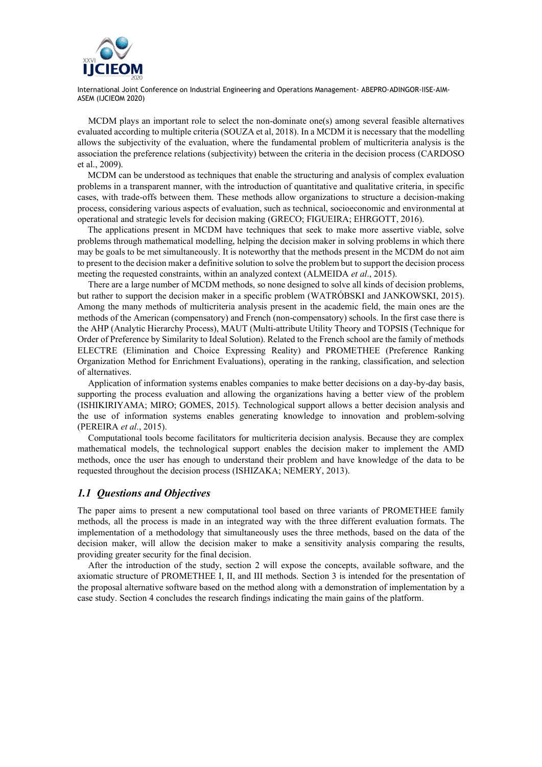

MCDM plays an important role to select the non-dominate one(s) among several feasible alternatives evaluated according to multiple criteria (SOUZA et al, 2018). In a MCDM it is necessary that the modelling allows the subjectivity of the evaluation, where the fundamental problem of multicriteria analysis is the association the preference relations (subjectivity) between the criteria in the decision process (CARDOSO et al., 2009).

MCDM can be understood as techniques that enable the structuring and analysis of complex evaluation problems in a transparent manner, with the introduction of quantitative and qualitative criteria, in specific cases, with trade-offs between them. These methods allow organizations to structure a decision-making process, considering various aspects of evaluation, such as technical, socioeconomic and environmental at operational and strategic levels for decision making (GRECO; FIGUEIRA; EHRGOTT, 2016).

The applications present in MCDM have techniques that seek to make more assertive viable, solve problems through mathematical modelling, helping the decision maker in solving problems in which there may be goals to be met simultaneously. It is noteworthy that the methods present in the MCDM do not aim to present to the decision maker a definitive solution to solve the problem but to support the decision process meeting the requested constraints, within an analyzed context (ALMEIDA *et al*., 2015).

There are a large number of MCDM methods, so none designed to solve all kinds of decision problems, but rather to support the decision maker in a specific problem (WATRÓBSKI and JANKOWSKI, 2015). Among the many methods of multicriteria analysis present in the academic field, the main ones are the methods of the American (compensatory) and French (non-compensatory) schools. In the first case there is the AHP (Analytic Hierarchy Process), MAUT (Multi-attribute Utility Theory and TOPSIS (Technique for Order of Preference by Similarity to Ideal Solution). Related to the French school are the family of methods ELECTRE (Elimination and Choice Expressing Reality) and PROMETHEE (Preference Ranking Organization Method for Enrichment Evaluations), operating in the ranking, classification, and selection of alternatives.

Application of information systems enables companies to make better decisions on a day-by-day basis, supporting the process evaluation and allowing the organizations having a better view of the problem (ISHIKIRIYAMA; MIRO; GOMES, 2015). Technological support allows a better decision analysis and the use of information systems enables generating knowledge to innovation and problem-solving (PEREIRA *et al*., 2015).

Computational tools become facilitators for multicriteria decision analysis. Because they are complex mathematical models, the technological support enables the decision maker to implement the AMD methods, once the user has enough to understand their problem and have knowledge of the data to be requested throughout the decision process (ISHIZAKA; NEMERY, 2013).

#### *1.1 Questions and Objectives*

The paper aims to present a new computational tool based on three variants of PROMETHEE family methods, all the process is made in an integrated way with the three different evaluation formats. The implementation of a methodology that simultaneously uses the three methods, based on the data of the decision maker, will allow the decision maker to make a sensitivity analysis comparing the results, providing greater security for the final decision.

After the introduction of the study, section 2 will expose the concepts, available software, and the axiomatic structure of PROMETHEE I, II, and III methods. Section 3 is intended for the presentation of the proposal alternative software based on the method along with a demonstration of implementation by a case study. Section 4 concludes the research findings indicating the main gains of the platform.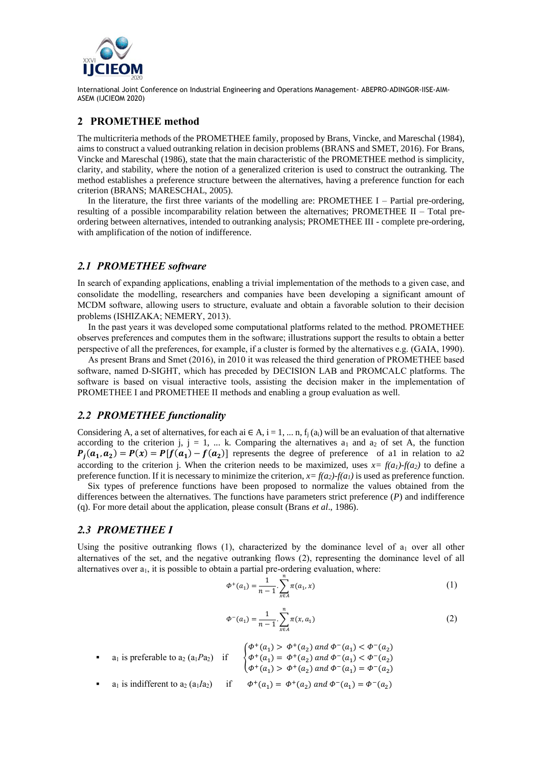

#### **2 PROMETHEE method**

The multicriteria methods of the PROMETHEE family, proposed by Brans, Vincke, and Mareschal (1984), aims to construct a valued outranking relation in decision problems (BRANS and SMET, 2016). For Brans, Vincke and Mareschal (1986), state that the main characteristic of the PROMETHEE method is simplicity, clarity, and stability, where the notion of a generalized criterion is used to construct the outranking. The method establishes a preference structure between the alternatives, having a preference function for each criterion (BRANS; MARESCHAL, 2005).

In the literature, the first three variants of the modelling are: PROMETHEE I – Partial pre-ordering, resulting of a possible incomparability relation between the alternatives; PROMETHEE II – Total preordering between alternatives, intended to outranking analysis; PROMETHEE III - complete pre-ordering, with amplification of the notion of indifference.

## *2.1 PROMETHEE software*

In search of expanding applications, enabling a trivial implementation of the methods to a given case, and consolidate the modelling, researchers and companies have been developing a significant amount of MCDM software, allowing users to structure, evaluate and obtain a favorable solution to their decision problems (ISHIZAKA; NEMERY, 2013).

In the past years it was developed some computational platforms related to the method. PROMETHEE observes preferences and computes them in the software; illustrations support the results to obtain a better perspective of all the preferences, for example, if a cluster is formed by the alternatives e.g. (GAIA, 1990).

As present Brans and Smet (2016), in 2010 it was released the third generation of PROMETHEE based software, named D-SIGHT, which has preceded by DECISION LAB and PROMCALC platforms. The software is based on visual interactive tools, assisting the decision maker in the implementation of PROMETHEE I and PROMETHEE II methods and enabling a group evaluation as well.

# *2.2 PROMETHEE functionality*

Considering A, a set of alternatives, for each ai  $\in A$ ,  $i = 1, ..., n$ ,  $f_j(a_i)$  will be an evaluation of that alternative according to the criterion j,  $j = 1$ , ... k. Comparing the alternatives  $a_1$  and  $a_2$  of set A, the function  $P_j(a_1, a_2) = P(x) = P[f(a_1) - f(a_2)]$  represents the degree of preference of all in relation to a2 according to the criterion j. When the criterion needs to be maximized, uses  $x = f(a_1) - f(a_2)$  to define a preference function. If it is necessary to minimize the criterion,  $x = f(a_2) - f(a_1)$  is used as preference function.

Six types of preference functions have been proposed to normalize the values obtained from the differences between the alternatives. The functions have parameters strict preference (*P*) and indifference (q). For more detail about the application, please consult (Brans *et al*., 1986).

## *2.3 PROMETHEE I*

Using the positive outranking flows  $(1)$ , characterized by the dominance level of  $a_1$  over all other alternatives of the set, and the negative outranking flows (2), representing the dominance level of all alternatives over  $a_1$ , it is possible to obtain a partial pre-ordering evaluation, where:

$$
\Phi^+(a_1) = \frac{1}{n-1} \sum_{x \in A}^n \pi(a_1, x) \tag{1}
$$

$$
\Phi^{-}(a_1) = \frac{1}{n-1} \cdot \sum_{x \in A}^{n} \pi(x, a_1)
$$
\n(2)

- $a_1$  is preferable to  $a_2$  ( $a_1Pa_2$ ) if  $\Phi^+(a_1) > \Phi^+(a_2)$  and  $\Phi^-(a_1) < \Phi^-(a_2)$  $\Phi^+(a_1) = \Phi^+(a_2)$  and  $\Phi^-(a_1) < \Phi^-(a_2)$  $\Phi^+(a_1) > \Phi^+(a_2)$  and  $\Phi^-(a_1) = \Phi^-(a_2)$
- $a_1$  is indifferent to  $a_2$  ( $a_1Ia_2$ ) if  $) = \Phi^+(a_2)$  and  $\Phi^-(a_1) = \Phi^-(a_2)$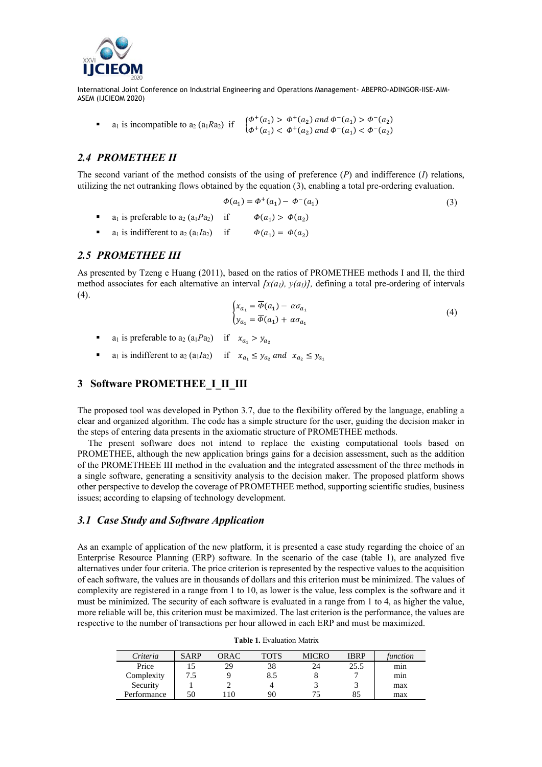

■ a<sub>1</sub> is incompatible to a<sub>2</sub> (a<sub>1</sub> $Ra_2$ ) if  $\begin{cases} \phi^+(a_1) > \phi^+(a_2) \text{ and } \phi^-(a_1) > \phi^-(a_2) \\ \phi^+(a_1) > \phi^+(a_2) \text{ and } \phi^-(a_1) > \phi^-(a_2) \end{cases}$  $\Phi^+(a_1) < \Phi^+(a_2)$  and  $\Phi^-(a_1) < \Phi^-(a_2)$ 

# *2.4 PROMETHEE II*

The second variant of the method consists of the using of preference (*P*) and indifference (*I*) relations, utilizing the net outranking flows obtained by the equation (3), enabling a total pre-ordering evaluation.

$$
\Phi(a_1) = \Phi^+(a_1) - \Phi^-(a_1)
$$
\n
$$
\bullet \quad a_1 \text{ is preferable to } a_2 \left( a_1 Pa_2 \right) \quad \text{if} \quad \Phi(a_1) > \Phi(a_2) \tag{3}
$$

**a** a<sub>1</sub> is indifferent to  $a_2$  ( $a_1Ia_2$ ) if  $) = \Phi(a_2)$ 

#### *2.5 PROMETHEE III*

As presented by Tzeng e Huang (2011), based on the ratios of PROMETHEE methods I and II, the third method associates for each alternative an interval  $[x(a_l), y(a_l)]$ , defining a total pre-ordering of intervals  $(4).$ 

$$
\begin{cases} x_{a_1} = \overline{\Phi}(a_1) - \alpha \sigma_{a_1} \\ y_{a_1} = \overline{\Phi}(a_1) + \alpha \sigma_{a_1} \end{cases}
$$
 (4)

- $a_1$  is preferable to  $a_2$  ( $a_1 Pa_2$ ) if  $x_{a_1} > y_{a_2}$
- **a** a<sub>1</sub> is indifferent to a<sub>2</sub> (a<sub>1</sub>/a<sub>2</sub>) if  $x_{a_1} \leq y_{a_2}$  and  $x_{a_2} \leq y_{a_1}$

# **3 Software PROMETHEE\_I\_II\_III**

The proposed tool was developed in Python 3.7, due to the flexibility offered by the language, enabling a clear and organized algorithm. The code has a simple structure for the user, guiding the decision maker in the steps of entering data presents in the axiomatic structure of PROMETHEE methods.

The present software does not intend to replace the existing computational tools based on PROMETHEE, although the new application brings gains for a decision assessment, such as the addition of the PROMETHEEE III method in the evaluation and the integrated assessment of the three methods in a single software, generating a sensitivity analysis to the decision maker. The proposed platform shows other perspective to develop the coverage of PROMETHEE method, supporting scientific studies, business issues; according to elapsing of technology development.

## *3.1 Case Study and Software Application*

As an example of application of the new platform, it is presented a case study regarding the choice of an Enterprise Resource Planning (ERP) software. In the scenario of the case (table 1), are analyzed five alternatives under four criteria. The price criterion is represented by the respective values to the acquisition of each software, the values are in thousands of dollars and this criterion must be minimized. The values of complexity are registered in a range from 1 to 10, as lower is the value, less complex is the software and it must be minimized. The security of each software is evaluated in a range from 1 to 4, as higher the value, more reliable will be, this criterion must be maximized. The last criterion is the performance, the values are respective to the number of transactions per hour allowed in each ERP and must be maximized.

| Criteria    | <b>SARP</b> | <b>ORAC</b> | <b>TOTS</b> | MICRO | <b>IBRP</b> | function |
|-------------|-------------|-------------|-------------|-------|-------------|----------|
| Price       |             | 29          | 38          | 24    | 25.5        | min      |
| Complexity  | 7.5         |             | 8.5         | о     |             | min      |
| Security    |             |             |             |       |             | max      |
| Performance | 50          | 10          | 90          |       | 85          | max      |

#### **Table 1.** Evaluation Matrix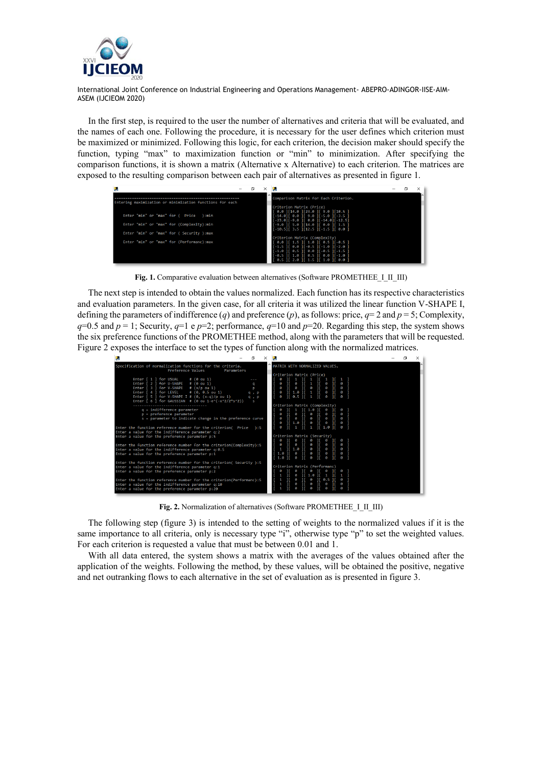

In the first step, is required to the user the number of alternatives and criteria that will be evaluated, and the names of each one. Following the procedure, it is necessary for the user defines which criterion must be maximized or minimized. Following this logic, for each criterion, the decision maker should specify the function, typing "max" to maximization function or "min" to minimization. After specifying the comparison functions, it is shown a matrix (Alternative x Alternative) to each criterion. The matrices are exposed to the resulting comparison between each pair of alternatives as presented in figure 1.

| Entering maximization or minimization functions for each |  | Comparison Matrix for Each Criterion.                                                                                                                                                                                    |  |  |
|----------------------------------------------------------|--|--------------------------------------------------------------------------------------------------------------------------------------------------------------------------------------------------------------------------|--|--|
| Enter "min" or "max" for (Price<br>) : min               |  | Criterion Matrix (Price)<br>$[0.0]$ $[14.0]$ $[23.0]$ $[9.0]$ $[10.5]$<br>$[-14.0]$   0.0   0.0   -5.0   -3.5                                                                                                            |  |  |
| Enter "min" or "max" for (Complexity):min                |  | $[-23.0]$ [-9.0][ 0.0][-14.0][-12.5]<br>$[-9.0]$ $[5.0]$ $[14.0]$ $[0.0]$ $[1.5]$<br>$[-10.5]$ [ 3.5 ][12.5 ][-1.5 ][ 0.0 ]                                                                                              |  |  |
| Enter "min" or "max" for ( Security ):max                |  | Criterion Matrix (Complexity)                                                                                                                                                                                            |  |  |
| Enter "min" or "max" for (Performanc):max                |  | $[0.0]$ $[1.5]$ $[1.0]$ $[0.5]$ $[-0.5]$<br>$[-1.5]$ $[0.0]$ $[-0.5]$ $[-1.0]$ $[-2.0]$<br>$[-1.0]$ $[0.5]$ $[0.0]$ $[-0.5]$ $[0.1.5]$<br>$[-0.5]$   1.0   0.5   0.0   -1.0  <br>$[0.5]$ $[2.0]$ $[1.5]$ $[1.0]$ $[0.0]$ |  |  |

Fig. 1. Comparative evaluation between alternatives (Software PROMETHEE I\_II\_III)

The next step is intended to obtain the values normalized. Each function has itsrespective characteristics and evaluation parameters. In the given case, for all criteria it was utilized the linear function V-SHAPE I, defining the parameters of indifference (*q*) and preference (*p*), as follows: price,  $q=2$  and  $p=5$ ; Complexity,  $q=0.5$  and  $p=1$ ; Security,  $q=1$  e  $p=2$ ; performance,  $q=10$  and  $p=20$ . Regarding this step, the system shows the six preference functions of the PROMETHEE method, along with the parameters that will be requested. Figure 2 exposes the interface to set the types of function along with the normalized matrices.



Fig. 2. Normalization of alternatives (Software PROMETHEE I\_II\_III)

The following step (figure 3) is intended to the setting of weights to the normalized values if it is the same importance to all criteria, only is necessary type "i", otherwise type "p" to set the weighted values. For each criterion is requested a value that must be between 0.01 and 1.

With all data entered, the system shows a matrix with the averages of the values obtained after the application of the weights. Following the method, by these values, will be obtained the positive, negative and net outranking flows to each alternative in the set of evaluation as is presented in figure 3.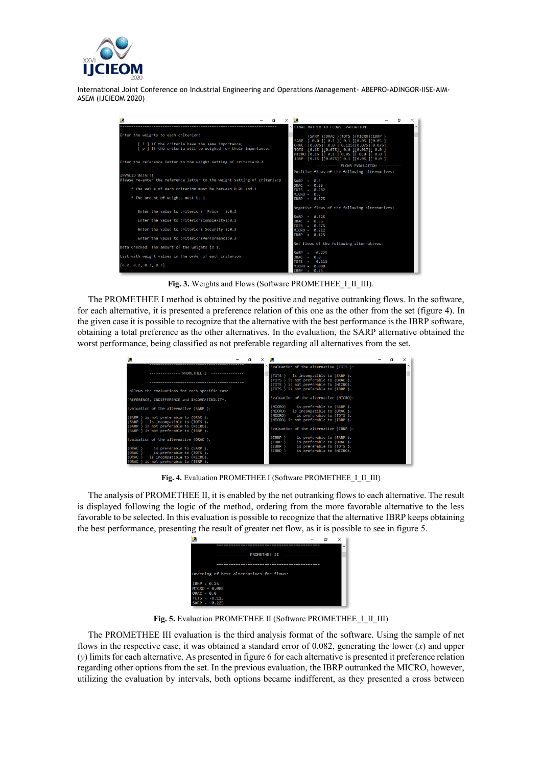



Fig. 3. Weights and Flows (Software PROMETHEE I II III).

The PROMETHEE I method is obtained by the positive and negative outranking flows. In the software, for each alternative, it is presented a preference relation of this one as the other from the set (figure 4). In the given case it is possible to recognize that the alternative with the best performance is the IBRP software, obtaining a total preference as the other alternatives. In the evaluation, the SARP alternative obtained the worst performance, being classified as not preferable regarding all alternatives from the set.

|                                                                                                                                                              |  | Evaluation of the alternative (TOTS ):                                         |  | $\wedge$ |
|--------------------------------------------------------------------------------------------------------------------------------------------------------------|--|--------------------------------------------------------------------------------|--|----------|
| --------------- PROMETHEE T ---------------                                                                                                                  |  | (TOTS ) is incompatible to (SARP ).                                            |  |          |
|                                                                                                                                                              |  | (TOTS ) is not preferable to (ORAC ).<br>(TOTS ) is not preferable to (MICRO). |  |          |
| Follows the evaluations for each specific case.                                                                                                              |  | (TOTS ) is not preferable to (IBRP ).                                          |  |          |
| PREFERENCE, INDIFFERENCE and INCOMPATIBILITY.                                                                                                                |  | Evaluation of the alternative (MICRO):                                         |  |          |
| Evaluation of the alternative (SARP):                                                                                                                        |  | (MICRO)<br>is preferable to (SARP ).<br>(MICRO)<br>is incompatible to (ORAC).  |  |          |
| (SARP ) is not preferable to (ORAC ).<br>is incompatible to (TOTS ).<br>(SARP)                                                                               |  | (MICRO)<br>is preferable to (TOTS ).<br>(MICRO) is not preferable to (IBRP).   |  |          |
| is not preferable to (MICRO).<br>(SARP)<br>(SARP ) is not preferable to (IBRP ).                                                                             |  | Evaluation of the alternative (IBRP ):                                         |  |          |
| Evaluation of the alternative (ORAC ):                                                                                                                       |  | IBRP )<br>is preferable to (SARP).<br>is preferable to (ORAC ).<br>(IBRP)      |  |          |
| (ORAC)<br>is preferable to (SARP ).<br>(ORAC)<br>is preferable to (TOTS ).<br>(ORAC<br>is incompatible to (MICRO).<br>is not preferable to (IBRP ).<br>(ORAC |  | is preferable to (TOTS ).<br>(IBRP)<br>is preferable to (MICRO).<br>(TRRP)     |  |          |

Fig. 4. Evaluation PROMETHEE I (Software PROMETHEE I\_II\_III)

The analysis of PROMETHEE II, it is enabled by the net outranking flows to each alternative. The result is displayed following the logic of the method, ordering from the more favorable alternative to the less favorable to be selected. In this evaluation is possible to recognize that the alternative IBRP keeps obtaining the best performance, presenting the result of greater net flow, as it is possible to see in figure 5.

|                                            |  | $\wedge$ |
|--------------------------------------------|--|----------|
| ------------- PROMETHEE II --------------- |  |          |
|                                            |  |          |
| Ordering of best alternatives for flows:   |  |          |
| $TRRP = 0.25$<br>$MICRO = 0.088$           |  |          |
| $ORAC = 0.0$<br>$TOTS = -0.113$            |  |          |
| $SARP = -0.225$                            |  |          |

Fig. 5. Evaluation PROMETHEE II (Software PROMETHEE I\_II\_III)

The PROMETHEE III evaluation is the third analysis format of the software. Using the sample of net flows in the respective case, it was obtained a standard error of 0.082, generating the lower (*x*) and upper (*y*) limits for each alternative. As presented in figure 6 for each alternative is presented it preference relation regarding other options from the set. In the previous evaluation, the IBRP outranked the MICRO, however, utilizing the evaluation by intervals, both options became indifferent, as they presented a cross between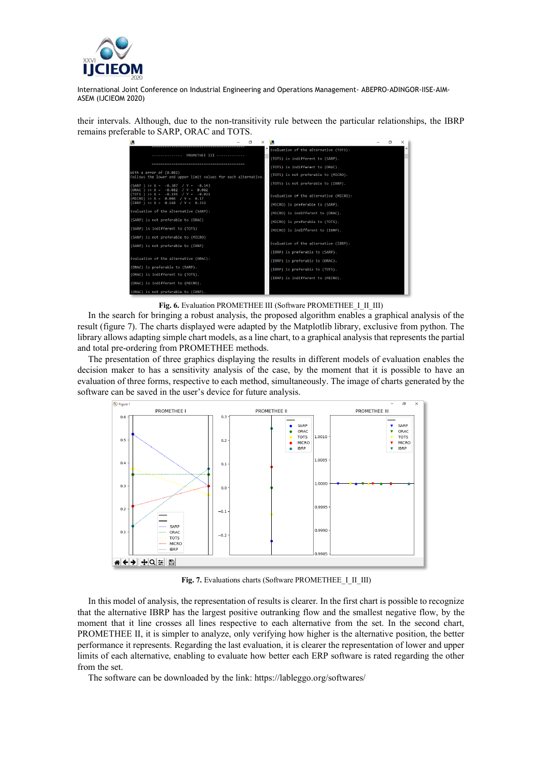

their intervals. Although, due to the non-transitivity rule between the particular relationships, the IBRP remains preferable to SARP, ORAC and TOTS.

| q                                                                                         | m | $\times$ | O.                                     |  | × |
|-------------------------------------------------------------------------------------------|---|----------|----------------------------------------|--|---|
|                                                                                           |   |          | Evaluation of the alternative (TOTS):  |  |   |
|                                                                                           |   |          | (TOTS) is indifferent to (SARP).       |  |   |
|                                                                                           |   |          | (TOTS) is indifferent to (ORAC).       |  |   |
| With a error of (0.082)<br>Follows the lower and upper limit values for each alternative. |   |          | (TOTS) is not preferable to (MICRO).   |  |   |
| $(SARP)$ >> X = -0.307 / Y = -0.143<br>(ORAC) >> X = $-0.082$ / Y = 0.082                 |   |          | (TOTS) is not preferable to (IBRP).    |  |   |
| $(TOTS)$ >> X = -0.195 / Y = -0.031<br>$(MICRO)$ >> X = 0.006 / Y = 0.17                  |   |          | Evaluation of the alternative (MICRO): |  |   |
| (IBRP ) >> X = 0.168 / Y = 0.332                                                          |   |          | (MICRO) is preferable to (SARP).       |  |   |
| Evaluation of the alternative (SARP):                                                     |   |          | (MICRO) is indifferent to (ORAC).      |  |   |
| (SARP) is not preferable to (ORAC)                                                        |   |          | (MICRO) is preferable to (TOTS).       |  |   |
| (SARP) is indifferent to (TOTS)                                                           |   |          | (MICRO) is indifferent to (IBRP).      |  |   |
| (SARP) is not preferable to (MICRO)                                                       |   |          |                                        |  |   |
| (SARP) is not preferable to (IBRP)                                                        |   |          | Evaluation of the alternative (IBRP):  |  |   |
|                                                                                           |   |          | (IBRP) is preferable to (SARP).        |  |   |
| Evaluation of the alternative (ORAC):                                                     |   |          | (IBRP) is preferable to (ORAC).        |  |   |
| (ORAC) is preferable to (SARP).                                                           |   |          | (IBRP) is preferable to (TOTS).        |  |   |
| (ORAC) is indifferent to (TOTS).                                                          |   |          | (IBRP) is indifferent to (MICRO).      |  |   |
| (ORAC) is indifferent to (MICRO).                                                         |   |          |                                        |  |   |
| (ORAC) is not preferable to (IBRP).                                                       |   |          |                                        |  |   |

Fig. 6. Evaluation PROMETHEE III (Software PROMETHEE I II III)

In the search for bringing a robust analysis, the proposed algorithm enables a graphical analysis of the result (figure 7). The charts displayed were adapted by the Matplotlib library, exclusive from python. The library allows adapting simple chart models, as a line chart, to a graphical analysis that represents the partial and total pre-ordering from PROMETHEE methods.

The presentation of three graphics displaying the results in different models of evaluation enables the decision maker to has a sensitivity analysis of the case, by the moment that it is possible to have an evaluation of three forms, respective to each method, simultaneously. The image of charts generated by the software can be saved in the user's device for future analysis.



Fig. 7. Evaluations charts (Software PROMETHEE I\_II\_III)

In this model of analysis, the representation of results is clearer. In the first chart is possible to recognize that the alternative IBRP has the largest positive outranking flow and the smallest negative flow, by the moment that it line crosses all lines respective to each alternative from the set. In the second chart, PROMETHEE II, it is simpler to analyze, only verifying how higher is the alternative position, the better performance it represents. Regarding the last evaluation, it is clearer the representation of lower and upper limits of each alternative, enabling to evaluate how better each ERP software is rated regarding the other from the set.

The software can be downloaded by the link: https://lableggo.org/softwares/